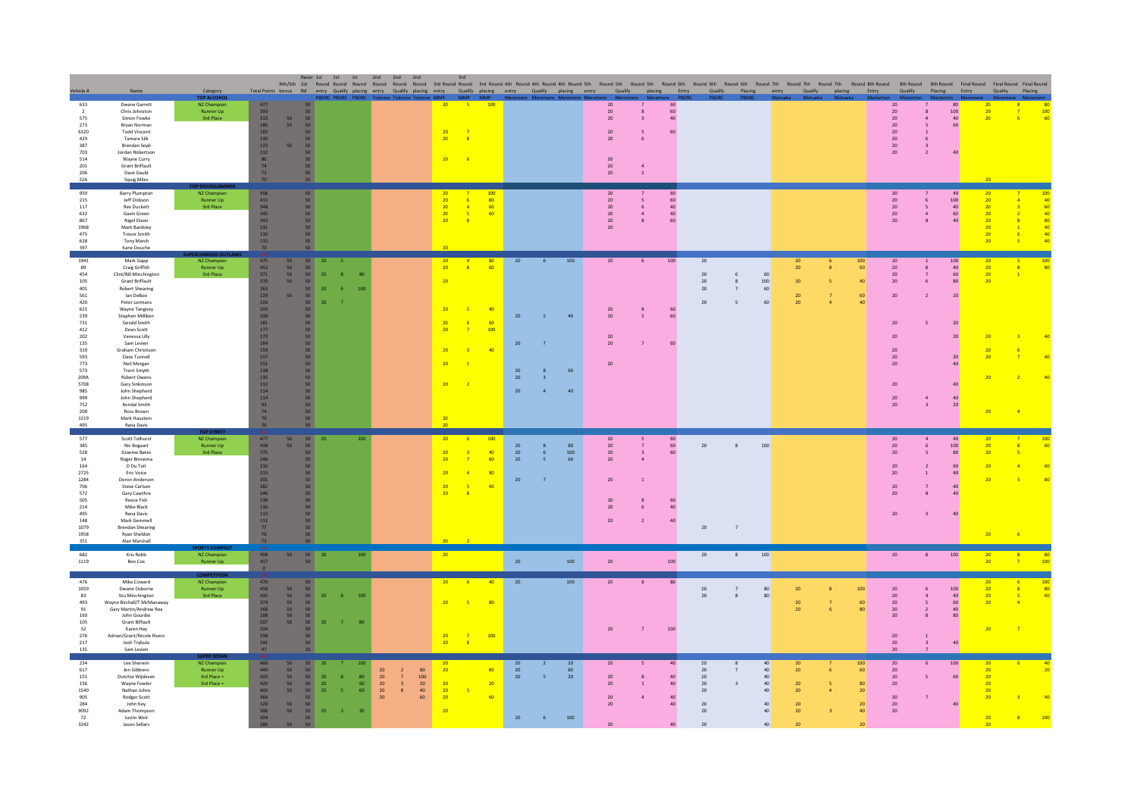| /ehicle #                                                                                                                                                                            | Name                                                                                                                                                                                                                                                                                                                                                                                                                                                        | Category<br><b>TOP ALCOHO</b>                                    | Total Points bonus Rd                                                                                                                                                                                      |                                                                                                                                                                                                                                                                               |                                                         | BDRC PBDRC PBDRC                                       | Racer 1st 1st 1st 2nd 2nd 2nd<br>Nth/Sth 1st Round Round Round Round Round Round 3rd Round Round 3rd Round 4th Round 4th Round 4th Round 5th<br>entry Qualify placing entry Qualify placing entry Qualify placing entry |                                         |                                                                                    | 3rd                                                              |                                           |                                                  | Qualify placing entry |                       | Round 5th                                                | Round 5th<br>Qualify<br>placing | Round 6th<br>Entry                 | Round 6th<br>Qualify                                                           |                                    |                                              | Placing entry Qualify placing                |                | Entry                                                                          | Round 6th Round 7th Round 7th Round 7th Round 8th Round 8th Round 8th Round Final Round Final Round Final Round<br>Qualify | Placing                                                              | Entry                                                                                                                                                           | Quality                                                                                      | Placing                                |
|--------------------------------------------------------------------------------------------------------------------------------------------------------------------------------------|-------------------------------------------------------------------------------------------------------------------------------------------------------------------------------------------------------------------------------------------------------------------------------------------------------------------------------------------------------------------------------------------------------------------------------------------------------------|------------------------------------------------------------------|------------------------------------------------------------------------------------------------------------------------------------------------------------------------------------------------------------|-------------------------------------------------------------------------------------------------------------------------------------------------------------------------------------------------------------------------------------------------------------------------------|---------------------------------------------------------|--------------------------------------------------------|-------------------------------------------------------------------------------------------------------------------------------------------------------------------------------------------------------------------------|-----------------------------------------|------------------------------------------------------------------------------------|------------------------------------------------------------------|-------------------------------------------|--------------------------------------------------|-----------------------|-----------------------|----------------------------------------------------------|---------------------------------|------------------------------------|--------------------------------------------------------------------------------|------------------------------------|----------------------------------------------|----------------------------------------------|----------------|--------------------------------------------------------------------------------|----------------------------------------------------------------------------------------------------------------------------|----------------------------------------------------------------------|-----------------------------------------------------------------------------------------------------------------------------------------------------------------|----------------------------------------------------------------------------------------------|----------------------------------------|
| 633<br>$\overline{2}$<br>575<br>273<br>6320<br>429<br>387<br>703<br>514<br>201<br>206<br>22A                                                                                         | <b>Dwane Garrett</b><br>Chris Johnston<br>Simon Fowke<br>Brvan Norman<br><b>Todd Vincent</b><br>Tamara Silk<br><b>Brendan Seyb</b><br>Jordan Robertson<br>Wayne Curry<br>Grant Briffault<br>Dave Gauld<br><b>Squig Miles</b>                                                                                                                                                                                                                                | NZ Champion<br><b>Runner Up</b><br>3rd Place                     | 477<br>$\begin{array}{c} 393 \\ 313 \end{array}$<br>185<br>183<br>130<br>123<br>$112$<br>$\frac{96}{74}$<br>72<br>70                                                                                       | 50<br>50<br>50 <sup>°</sup><br>50 <sub>2</sub><br>50 <sub>2</sub><br>50<br>50 <sub>1</sub><br>50 <sub>2</sub><br>50<br>$50\,$<br>50<br>50<br>50<br>50 <sub>2</sub><br>50 <sub>2</sub>                                                                                         |                                                         |                                                        |                                                                                                                                                                                                                         |                                         | 20<br>20<br>20<br>20                                                               | -51<br>$\overline{\mathbf{R}}$                                   | 100                                       |                                                  |                       |                       | 20<br>20<br>20<br>20<br>20<br>$20\,$<br>$20\,$<br>20     | $\overline{2}$                  | 60<br>60<br>40<br>60               |                                                                                |                                    |                                              |                                              |                |                                                                                | 20<br>20<br>20<br>20<br>20<br>$20\,$<br>$20\,$<br>$20\,$                                                                   | $\mathbf{A}$<br>$\sim$                                               | 80<br>100<br>$\begin{array}{c} 40 \\ 60 \end{array}$<br>40                                                                                                      | 20 <sub>2</sub><br>20 <sup>°</sup><br>20                                                     | $\frac{100}{60}$                       |
| 959<br>$215\,$<br>117<br>632<br>867<br>1968<br>475<br>628<br>397                                                                                                                     | <b>Barry Plumpton</b><br>Jeff Dobson<br><b>Rex Duckett</b><br>Gavin Green<br>Nigel Dixon<br>Mark Bardsley<br><b>Trevor Smith</b><br>Tony Marsh<br>Kane Douche                                                                                                                                                                                                                                                                                               | NZ Champ<br>Runner Up<br>3rd Place                               | 458<br>$\begin{array}{c} 431 \\ 348 \end{array}$<br>345<br>342<br>131<br>116<br>115<br>70                                                                                                                  | 50 <sub>2</sub><br>$\begin{array}{c} 50 \ 50 \end{array}$<br>50 <sub>2</sub><br>50<br>50<br>50 <sub>2</sub><br>50 <sup>°</sup><br>50                                                                                                                                          |                                                         |                                                        |                                                                                                                                                                                                                         |                                         | 20<br>20<br>20<br>20<br>20                                                         | $\sqrt{4}$<br>$\overline{\mathbf{5}}$<br>$\overline{\mathbf{8}}$ | 100<br>80<br>60<br>60                     |                                                  |                       |                       | 20<br>$20\,$<br>$20\,$<br>$20\,$<br>$20\,$<br>$20\,$     |                                 | 60<br>60<br>$40\,$<br>$40\,$<br>60 |                                                                                |                                    |                                              |                                              |                |                                                                                | 20<br>$20\,$<br>$20\,$<br>20<br>20 <sub>2</sub>                                                                            | $\mathbf{A}$<br>$\mathbf{8}$                                         | 40<br>100<br>$\begin{array}{c} 40 \\ 60 \\ 40 \end{array}$                                                                                                      | 20<br>20 <sub>2</sub><br>20 <sub>2</sub><br>$20\degree$<br>20<br>20<br>20 <sup>°</sup><br>20 | 40<br>60<br>40<br>80<br>40<br>40<br>40 |
| 1941<br>89<br>454<br>105<br>401<br>561<br>420<br>621<br>239<br>$731\,$<br>412<br>202<br>135<br>319<br>593<br>773<br>573<br>$209A$<br>5708<br>985<br>999<br>752<br>200<br>1219<br>495 | Mark Gapp<br>Craig Griffith<br>Clint/Bill Minchington<br><b>Grant Briffault</b><br><b>Robert Shearing</b><br>lan DeBoo<br>Peter Lormans<br>Wayne Tangney<br>Stephen Milliken<br>Gerald Smith<br>Dean Scott<br>Vanessa Lilly<br>Sam Levien<br>Graham Christison<br>Dave Tunnell<br>Neil Morgan<br><b>Trent Smyth</b><br>Robert Owens<br>Gary Sinkinson<br>John Shepherd<br>John Shepherd<br>Kendal Smith<br><b>Ross Brown</b><br>Mark Haustein<br>Rana Davis | NZ Champion<br>Runner Up<br>3rd Place                            | 475<br>452<br>371<br>370<br>$\frac{263}{229}$<br>$226\,$<br>${\bf 203}$<br>200<br>$181$<br>177<br>173<br>164<br>159<br>157<br>${\bf 151}$<br>138<br>135<br>132<br>$114\,$<br>$114$<br>93<br>74<br>70<br>70 | 50 <sub>1</sub><br>50 <sub>2</sub><br>50 <sub>2</sub><br>50<br>50<br>50<br>50<br>50<br>50<br>$50 -$<br>50<br>50<br>50<br>50<br>50<br>50<br>50<br>50<br>50<br>50<br>50<br>50<br>50<br>$\begin{array}{c} 50 \\ 50 \end{array}$<br>50<br>50<br>50<br>50 <sup>°</sup><br>50<br>50 | 20<br>20<br>20<br>20                                    | 100                                                    |                                                                                                                                                                                                                         |                                         | 20 <sub>2</sub><br>20 <sup>°</sup><br>20<br>20<br>20<br>20<br>20<br>20<br>20<br>20 | 8 <sup>°</sup><br>-5<br>6<br>$\overline{7}$<br>$\overline{1}$    | 80<br>60<br>40<br>60<br>100<br>40         | $20\,$<br>20<br>20<br>20<br>${\bf 20}$<br>$20\,$ | $\mathbf{A}$          | 100<br>40<br>60<br>40 | $20\,$<br>$20\,$<br>20<br>20<br>20<br>20                 | 6                               | 100<br>$60\,$<br>60<br>60          | $20\,$<br>$20\,$<br>$20\,$<br>20<br>20                                         | 6<br>$\bf8$<br>$\overline{7}$<br>5 | 60<br>100<br>60<br>60                        | 20<br>$20\,$<br>$20\,$<br>20<br>20           |                | 100<br>60<br>40<br>60<br>40 <sup>1</sup>                                       | 20<br>$20\,$<br>20<br>20 <sub>2</sub><br>20<br>${\bf 20}$<br>20<br>20<br>20 <sup>°</sup><br>$20\,$<br>$20\,$<br>20<br>20   | $\overline{7}$<br>6 <sup>1</sup><br>$\overline{2}$<br>$\overline{3}$ | $\begin{array}{c} 100 \\ 40 \\ 60 \\ 80 \end{array}$<br>20<br>20 <sub>2</sub><br>20 <sup>2</sup><br>20 <sub>2</sub><br>40 <sup>°</sup><br>40<br>$\frac{40}{20}$ | $\begin{array}{r} 20 \\ 20 \\ 20 \end{array}$<br>20<br>20<br>20<br>20<br>20<br>20            | $\frac{100}{80}$                       |
| 577<br>385<br>528<br>14<br>164<br>2725<br>1284<br>706<br>572<br>505<br>$_{\rm 214}$<br>495<br>148<br>1079<br>1958<br>351                                                             | Scott Tolhurst<br>Nic Bogaart<br>Graeme Bates<br>Roger Binnema<br>D Du Toit<br>Fric Voice<br>Doron Anderson<br>Steve Carlsen<br>Gary Cawthra<br>Reece Fish<br>Mike Black<br>Rana Davis<br>Mark Gemmell<br><b>Brendan Shearing</b><br>Ryan Sheldon<br>Alan Marshall                                                                                                                                                                                          | <b>TOP STREE</b><br>NZ Champion<br>Runner Up<br><b>3rd Place</b> | 477<br>438<br>375<br>246<br>216<br>$215\,$<br>${\bf 201}$<br>182<br>146<br>138<br>116<br>113<br>$112$<br>77<br>76<br>72                                                                                    | $\begin{array}{c} 50 \\ 50 \end{array}$<br>50<br>50<br>50 <sub>2</sub><br>50<br>50<br>50<br>50<br>${\bf 50}$<br>${\bf 50}$<br>50<br>50 <sub>2</sub><br>50<br>50<br>50<br>50 <sub>2</sub><br>50                                                                                | $20\,$                                                  | 100                                                    |                                                                                                                                                                                                                         |                                         | 20<br>20<br>20<br>20<br>20<br>20                                                   | -6<br>$\overline{A}$                                             | 100<br>40 <sup>°</sup><br>60<br>-80<br>40 | 20<br>$20\,$<br>$20\,$<br>20                     | 6                     | $80\,$<br>100<br>60   | 20<br>${\bf 20}$<br>$20\,$<br>20<br>20<br>20<br>20<br>20 | $\overline{2}$                  | $60\,$<br>$60\,$<br>40             | $20\,$<br>$20\degree$                                                          | 8<br>$\overline{7}$                | 100                                          |                                              |                |                                                                                | 20<br>${\bf 20}$<br>20<br>20<br>20<br>${\bf 20}$<br>20<br>20                                                               | 5<br>$\mathbf{1}$<br>$\mathbf{R}$                                    | 40<br>100<br>80<br>60<br>40<br>40<br>40<br>40                                                                                                                   | 20<br>$20\degree$<br>20 <sub>2</sub><br>20<br>20<br>20                                       |                                        |
| 682<br>1119                                                                                                                                                                          | Kris Robb<br>Ben Cox                                                                                                                                                                                                                                                                                                                                                                                                                                        | NZ Champ<br>Runner Up                                            | 458<br>417<br>$\mathbf{0}$                                                                                                                                                                                 | $50 -$<br>50                                                                                                                                                                                                                                                                  | 50 20                                                   | 100                                                    |                                                                                                                                                                                                                         |                                         | 20                                                                                 |                                                                  |                                           | ${\bf 20}$                                       |                       | 100                   | ${\bf 20}$                                               |                                 | 100                                | 20                                                                             | 8                                  | 100                                          |                                              |                |                                                                                | 20                                                                                                                         | $\boldsymbol{8}$                                                     | 100                                                                                                                                                             | 20 <sub>2</sub><br>20 <sub>2</sub>                                                           |                                        |
| 476<br>1059<br>83<br>493<br>91<br>160<br>105<br>$32\,$<br>276<br>217<br>135                                                                                                          | Mike Coward<br>Dwane Osborne<br>Stu Minchington<br>Wayne Birchall/T McManaway<br>Gary Martin/Andrew Rea<br>John Gourdie<br><b>Grant Biffault</b><br>Karen Hay<br>Adrian/Grant/Nicole Rivers<br>Josh Trybula<br>Sam Levien                                                                                                                                                                                                                                   | NZ Champion<br><b>Runner Up</b><br>3rd Place                     | 470<br>458<br>435<br>374<br>268<br>208<br>$\frac{207}{204}$<br>198<br>141<br>47                                                                                                                            | 50<br>50<br>50 <sub>2</sub><br>50<br>50<br>50<br>50<br>50 <sub>2</sub><br>50<br>50<br>50 <sub>2</sub><br>50<br>50 <sub>2</sub><br>50<br>50<br>50                                                                                                                              | 20<br>${\bf 20}$                                        | 100<br>8<br>7 <sup>2</sup><br>80                       |                                                                                                                                                                                                                         |                                         | 20<br>20<br>20<br>20 <sup>°</sup>                                                  | -5.<br>$\frac{7}{8}$                                             | 40<br>80<br>100                           | 20                                               |                       | 100                   | 20<br>20                                                 |                                 | 80<br>$100\,$                      | $20\degree$<br>20                                                              | $\overline{\phantom{a}}$<br>8      | 80<br>80                                     | 20<br>$20\,$<br>20                           | $\overline{7}$ | 100<br>60<br>80                                                                | 20<br>$\frac{20}{20}$<br>$20\degree$<br>20<br>20<br>20<br>20                                                               | 6<br>$\overline{4}$<br>5<br>$\overline{2}$                           | 100<br>$40$<br>$60$<br>$40$<br>$80$<br>40                                                                                                                       | 20<br>20<br>20<br>20                                                                         | 80                                     |
| 234<br>617<br>155<br>156<br>1540<br>905<br>284<br>9092<br>72<br>3242                                                                                                                 | Lee Sherwin<br>Jen Gibbons<br>Dutchie Wijdeven<br>Wayne Fowler<br>Nathan Johns<br>Rodger Scott<br>John Key<br>Adam Thompson<br>Justin Weir<br>Jason Sellars                                                                                                                                                                                                                                                                                                 | NZ Champion<br>Runner Up<br>$3rd$ Place $=$<br>3rd Place =       | 466<br>$\begin{array}{c} 440 \\ 420 \end{array}$<br>420<br>402<br>364<br>320<br>306<br>304                                                                                                                 | 50<br>50<br>50<br>50<br>50<br>50<br>50<br>50 <sub>2</sub><br>50<br>50 <sub>2</sub><br>50<br>50<br>50<br>50<br>50<br>50                                                                                                                                                        | 20<br>$20\,$<br>${\bf 20}$<br>$20\,$<br>20 <sub>2</sub> | 100<br>80<br>60<br>$\mathsf S$<br>60<br>$-3$<br>$20\,$ | ${\bf 20}$<br>20<br>7<br>$20\,$<br>$\,$ 3 $\,$<br>${\bf 20}$<br>$\,$ 8 $\,$<br>$20\,$                                                                                                                                   | $80\,$<br>$100\,$<br>$20\,$<br>40<br>60 | 20<br>20<br>20<br>20<br>20<br>20                                                   | $\overline{\mathbf{5}}$                                          | 80<br>20<br>60                            | 20<br>20<br>20<br>20                             | 6                     | 20<br>60<br>20<br>100 | 20<br>20<br>20<br>20<br>20                               |                                 | 40<br>$40\,$<br>40<br>40           | 20<br>20<br>$20\degree$<br>$20\,$<br>$20\,$<br>$20\,$<br>20 <sub>2</sub><br>20 | 8<br>$\overline{\phantom{a}}$<br>3 | 40<br>40<br>40<br>40<br>40<br>40<br>40<br>40 | 20<br>20<br>${\bf 20}$<br>20<br>20<br>$20\,$ |                | 100<br>60<br>80<br>20 <sup>°</sup><br>20 <sup>°</sup><br>40<br>$\overline{20}$ | 20<br>20<br>20<br>${\bf 20}$<br>20<br>20<br>20 <sub>2</sub>                                                                | 6<br>$\overline{5}$                                                  | 100<br>60                                                                                                                                                       | 20<br>20 <sub>2</sub><br>$20\degree$<br>20<br>20<br>20                                       |                                        |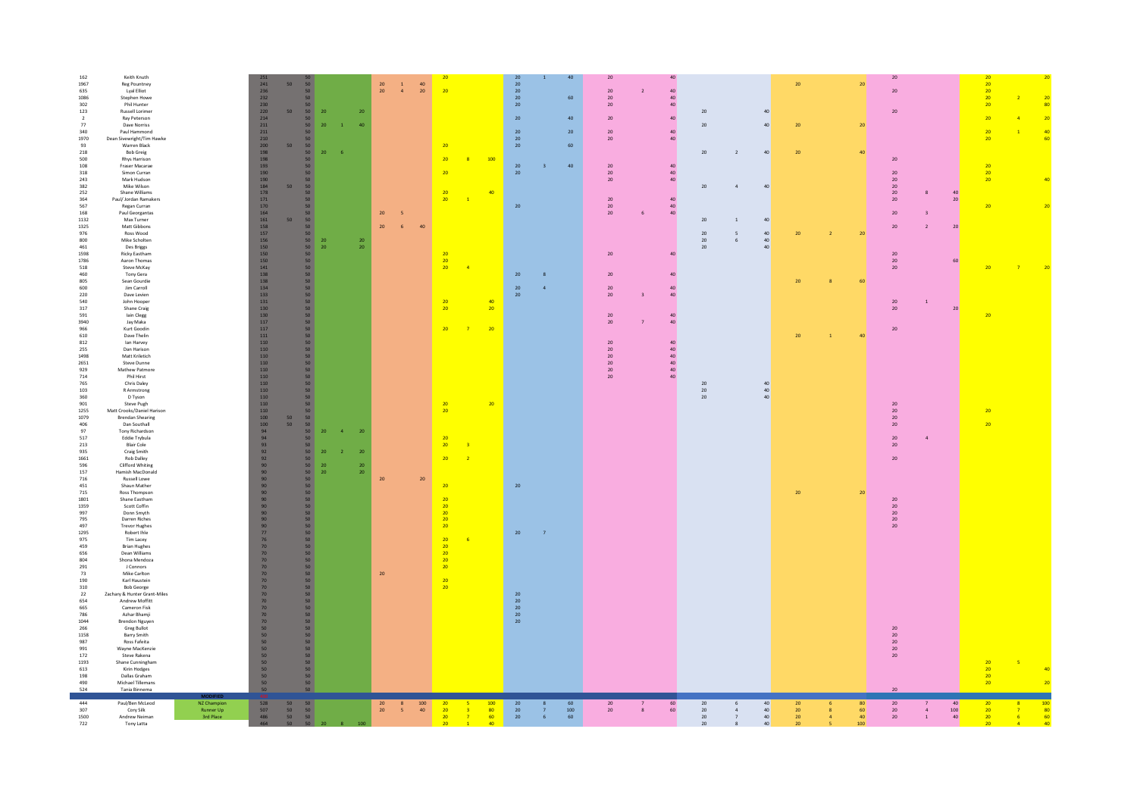| 524<br>444<br>307<br>1500<br>722                                                    | Tania Binnema<br>Paul/Ben McLeod<br>Cory Silk<br>Andrew Neiman<br>Tony Latta                                                                                                                                            | NZ Champion<br>Runner Up<br>3rd Place | 50<br>528<br>$\frac{507}{486}$<br>464                                                                                                                                                       | 50 <sub>2</sub><br>$\begin{array}{c} 50 \\ 50 \\ 50 \end{array}$ | 50<br>50<br>$\begin{array}{c} 50 \\ 50 \end{array}$<br>$50-1$<br>20                                                                                             |                                  | 20<br>$20-1$               | $-5$                     | $100\,$<br>40 <sup>°</sup> | 20<br>20<br>20<br>20                                                                              | $\overline{\mathbf{3}}$                   | 100<br>80<br>60<br>40 | 20<br>$\frac{20}{20}$                    |                         | 60<br>100<br>60                                | 20<br>20 <sub>2</sub>                                                                |                         | $60\,$<br>60                                                          | 20<br>20<br>20<br>$20\degree$        | 40<br>40<br>$\overline{a}$<br>40<br>$\overline{7}$<br>40 <sup>°</sup><br>8 | 20<br>$20\,$<br>$\frac{20}{20}$ |                | 80<br>60<br>40 <sup>°</sup><br>100 | 20<br>$20\,$<br>20 <sub>2</sub><br>20 <sup>°</sup>      | $\overline{4}$<br><sup>1</sup> | 40<br>$\begin{array}{c} 100 \\ 40 \end{array}$ | 20<br>20 <sup>°</sup><br>20<br>20 <sup>2</sup>                                |                |
|-------------------------------------------------------------------------------------|-------------------------------------------------------------------------------------------------------------------------------------------------------------------------------------------------------------------------|---------------------------------------|---------------------------------------------------------------------------------------------------------------------------------------------------------------------------------------------|------------------------------------------------------------------|-----------------------------------------------------------------------------------------------------------------------------------------------------------------|----------------------------------|----------------------------|--------------------------|----------------------------|---------------------------------------------------------------------------------------------------|-------------------------------------------|-----------------------|------------------------------------------|-------------------------|------------------------------------------------|--------------------------------------------------------------------------------------|-------------------------|-----------------------------------------------------------------------|--------------------------------------|----------------------------------------------------------------------------|---------------------------------|----------------|------------------------------------|---------------------------------------------------------|--------------------------------|------------------------------------------------|-------------------------------------------------------------------------------|----------------|
| 665<br>786<br>1044<br>266<br>1158<br>987<br>991<br>172<br>1193<br>613<br>198<br>490 | Cameron Fisk<br>Azhar Bhamji<br><b>Brendon Nguyen</b><br>Greg Bullot<br><b>Barry Smith</b><br>Ross Fafeita<br>Wayne MacKenzie<br>Steve Rakena<br>Shane Cunningham<br>Kirin Hodges<br>Dallas Graham<br>Michael Tillemans |                                       | $\begin{array}{c} 70 \\ 50 \end{array}$<br>$\begin{array}{c} 50 \\ 50 \end{array}$<br>$\begin{array}{c} 50 \\ 50 \end{array}$<br>50 <sup>°</sup><br>50<br>50<br>50                          |                                                                  | 50<br>50 <sub>2</sub><br>50 <sub>2</sub><br>50 <sub>2</sub><br>50<br>50<br>50 <sub>2</sub><br>50 <sup>°</sup><br>50 <sub>2</sub><br>50<br>50 <sub>1</sub><br>50 |                                  |                            |                          |                            |                                                                                                   |                                           |                       | 20<br>20<br>$20\,$                       |                         |                                                |                                                                                      |                         |                                                                       |                                      |                                                                            |                                 |                |                                    | ${\bf 20}$<br>20<br>20<br>20<br>20                      |                                |                                                | 20<br>$\begin{array}{c}\n 20 \\ \hline\n 20\n \end{array}$<br>20 <sub>2</sub> | -5             |
| 975<br>459<br>656<br>804<br>291<br>73<br>190<br>310<br>22<br>654                    | Tim Lacey<br><b>Brian Hughes</b><br>Dean Williams<br>Shona Mendoza<br>J Connors<br>Mike Carlton<br>Karl Haustein<br><b>Bob George</b><br>Zachary & Hunter Grant-Miles<br>Andrew Moffitt                                 |                                       | 70<br>70<br>70<br>70<br>70<br>70<br>70<br>70<br>70<br>70<br>70                                                                                                                              |                                                                  | 50 <sub>2</sub><br>50<br>50 <sub>2</sub><br>50<br>50 <sub>2</sub><br>50<br>50<br>50<br>50 <sup>°</sup><br>50 <sub>2</sub>                                       |                                  | 20 <sub>2</sub>            |                          |                            | 20<br>$\frac{20}{20}$<br>$\overline{20}$<br>$\overline{20}$<br>$\overline{20}$<br>$\overline{20}$ | $-6$                                      |                       | 20<br>20                                 |                         |                                                |                                                                                      |                         |                                                                       |                                      |                                                                            |                                 |                |                                    |                                                         |                                |                                                |                                                                               |                |
| 157<br>716<br>451<br>715<br>1801<br>1359<br>997<br>795<br>497<br>1295               | Hamish MacDonald<br>Russell Lowe<br>Shaun Mather<br>Ross Thompson<br>Shane Eastham<br>Scott Coffin<br>Donn Smyth<br>Darren Riches<br><b>Trevor Hughes</b><br>Robert Ihle                                                |                                       | $\begin{array}{c} 90 \\ 90 \\ 90 \end{array}$<br>$\frac{90}{90}$<br>$\begin{array}{c} 90 \\ 90 \end{array}$<br>$\begin{array}{c} 90 \\ 90 \end{array}$<br>$\frac{90}{77}$<br>76             |                                                                  | 50<br>20<br>50<br>$50 -$<br>50<br>50 <sub>2</sub><br>50<br>50<br>50<br>50<br>50 <sup>°</sup>                                                                    |                                  | 20<br>20                   |                          | 20                         | 20<br>$\overline{20}$<br>20<br>20<br>20<br>$\overline{20}$                                        |                                           |                       | $20\,$<br>20                             | $\overline{7}$          |                                                |                                                                                      |                         |                                                                       |                                      |                                                                            | ${\bf 20}$                      |                | 20                                 | $20\,$<br>$20\,$<br>$20\,$<br>20<br>20                  |                                |                                                |                                                                               |                |
| 1255<br>1079<br>406<br>97<br>517<br>213<br>935<br>1661<br>596                       | Matt Crooks/Daniel Harison<br><b>Brendan Shearing</b><br>Dan Southall<br><b>Tony Richardson</b><br>Eddie Trybula<br>Blair Cole<br>Craig Smith<br><b>Rob Dalley</b><br>Clifford Whiting                                  |                                       | $\begin{array}{c} 110 \\ 110 \\ 100 \\ 100 \\ 94 \end{array}$<br>94<br>93<br>$\frac{92}{92}$                                                                                                | 50<br>50                                                         | 50<br>50<br>50<br>50<br>$20\,$<br>50<br>20<br>50<br>50<br>50<br>20                                                                                              | $\overline{a}$<br>$\overline{2}$ | $20\,$<br>20<br>${\bf 20}$ |                          |                            | 20<br>20<br>20                                                                                    | $\overline{\mathbf{3}}$<br>$\overline{2}$ |                       |                                          |                         |                                                |                                                                                      |                         |                                                                       |                                      |                                                                            |                                 |                |                                    | $\frac{20}{20}$<br>$20\,$<br>20<br>$20\,$<br>20         | $\overline{4}$                 |                                                | 20<br>20                                                                      |                |
| 812<br>255<br>1498<br>2651<br>929<br>714<br>765<br>103<br>360<br>901                | lan Harvey<br>Dan Harison<br>Matt Kriletich<br>Steve Dunne<br>Mathew Patmore<br>Phil Hirst<br>Chris Daley<br>R Armstrong<br>D Tyson<br>Steve Pugh                                                                       |                                       | $\begin{array}{c} 110 \\ 110 \end{array}$<br>$110\,$<br>$110\,$<br>$110\,$<br>110<br>110<br>$\begin{array}{c} 110 \\ 110 \end{array}$                                                       |                                                                  | 50<br>50<br>50 <sub>2</sub><br>50<br>50 <sub>2</sub><br>50 <sub>2</sub><br>50 <sub>2</sub><br>50<br>50<br>50                                                    |                                  |                            |                          |                            | $\frac{20}{20}$                                                                                   |                                           | 20                    |                                          |                         |                                                | $20\,$<br>$20\,$<br>$20\,$<br>$20\,$<br>${\bf 20}$<br>20 <sub>2</sub>                |                         | 40<br>$\frac{40}{40}$<br>$40\,$<br>$40\,$<br>40 <sup>°</sup>          | $20\,$<br>$\frac{20}{20}$            | 40<br>40<br>40                                                             |                                 |                |                                    | 20                                                      |                                |                                                |                                                                               |                |
| 805<br>600<br>220<br>540<br>$317\,$<br>591<br>3940<br>966<br>610                    | Sean Gourdie<br>Jim Carroll<br>Dave Levien<br>John Hooper<br>Shane Craig<br>lain Clegg<br>Jay Maka<br>Kurt Goodin<br>Dave Thelin                                                                                        |                                       | $\begin{array}{c} 138 \\ 134 \end{array}$<br>133<br>$131\,$<br>130<br>130<br>117<br>117<br>$111\,$                                                                                          |                                                                  | 50 <sub>2</sub><br>50 <sub>2</sub><br>50 <sub>2</sub><br>50<br>50<br>50 <sub>2</sub><br>50 <sub>2</sub><br>50 <sub>2</sub><br>50 <sup>°</sup>                   |                                  |                            |                          |                            | 20<br>20<br>20                                                                                    | $\overline{7}$                            | 40<br>20<br>$-20$     | 20<br>20                                 | $\overline{a}$          |                                                | $20\,$<br>20<br>$20\,$<br>20 <sub>2</sub>                                            | $\overline{\mathbf{3}}$ | $40\,$<br>40<br>40 <sup>°</sup><br>40 <sup>°</sup>                    |                                      |                                                                            | 20<br>20                        | $\overline{1}$ | 60<br>40                           | $20\,$<br>${\bf 20}$<br>20                              | $\,1\,$                        | 20 <sub>2</sub>                                | 20                                                                            |                |
| 1132<br>1325<br>976<br>800<br>461<br>1598<br>1786<br>518<br>460                     | Max Turner<br>Matt Gibbons<br>Ross Wood<br>Mike Scholten<br>Des Briggs<br><b>Ricky Eastham</b><br>Aaron Thomas<br>Steve McKay<br>Tony Gera                                                                              |                                       | $\begin{array}{c} 161 \\ 158 \end{array}$<br>$157\,$<br>156<br>150<br>$\begin{array}{c} 150 \\ 150 \end{array}$<br>$\frac{141}{138}$                                                        | 50                                                               | 50 <sub>2</sub><br>50<br>50 <sub>1</sub><br>50<br>${\bf 20}$<br>50<br>${\bf 20}$<br>50<br>50<br>50<br>50 <sup>°</sup>                                           |                                  | $20\,$<br>$\frac{20}{20}$  | $\,$ 6                   | 40                         | 20<br>$\frac{20}{2}$<br>20                                                                        | $\overline{4}$                            |                       | 20                                       | $\mathbf{R}$            |                                                | 20 <sub>2</sub><br>20                                                                |                         | 40 <sup>°</sup><br>40                                                 | $20\,$<br>$20\,$<br>$20\,$<br>$20\,$ | 40<br>$\,$ 1 $\,$<br>40<br>$\mathsf{s}$<br>40<br>6<br>40                   | $20\,$                          |                | 20 <sup>1</sup>                    | $20\,$<br>20 <sub>2</sub><br>20 <sub>2</sub><br>20      | $\overline{2}$                 | 20 <sub>2</sub><br>60                          | 20                                                                            |                |
| 218<br>500<br>108<br>318<br>243<br>382<br>252<br>364<br>567<br>168                  | <b>Bob Greig</b><br>Rhys Harrison<br>Fraser Macarae<br>Simon Curran<br>Mark Hudson<br>Mike Wilson<br>Shane Williams<br>Paul/Jordan Ramakers<br>Regan Curran<br>Paul Georgantas                                          |                                       | $\begin{array}{c} 198 \\ 193 \end{array}$<br>$190\,$<br>$\begin{array}{c} 190 \\ 184 \end{array}$<br>$\begin{array}{c} 178 \\ 171 \end{array}$<br>$\begin{array}{c} 170 \\ 164 \end{array}$ | 50                                                               | $50 -$<br>20<br>50<br>50<br>50<br>50<br>50<br>50<br>50 <sup>°</sup><br>50<br>50                                                                                 | - 6                              | 20                         | $\overline{\phantom{0}}$ |                            | 20<br>20<br>20<br>20                                                                              | $\overline{1}$                            | 100<br>40             | $20\degree$<br>$20\,$<br>$20\,$          | $\overline{\mathbf{3}}$ | 40                                             | $20\,$<br>$20\degree$<br>20 <sub>2</sub><br>20<br>20 <sup>°</sup><br>20 <sup>2</sup> | 6                       | $40\,$<br>$\bf{40}$<br>40 <sup>°</sup><br>40<br>40 <sup>1</sup><br>40 | 20<br>20                             | 40<br>$\overline{2}$<br>40                                                 | 20                              |                | 40                                 | 20<br>20<br>20 <sub>2</sub><br>$20\,$<br>20<br>20<br>20 | 8<br>$\mathbf{R}$              | 40<br>20 <sup>2</sup>                          | $20\degree$<br>20<br>20 <sub>2</sub><br>20                                    |                |
| 1086<br>$302\,$<br>$123\,$<br>$\overline{2}$<br>77<br>340<br>1970<br>93             | Stephen Howe<br>Phil Hunter<br><b>Russell Lorimer</b><br>Ray Peterson<br>Dave Norriss<br>Paul Hammond<br>Dean Sivewright/Tim Hawke<br>Warren Black                                                                      |                                       | 232<br>$\begin{array}{c} 230 \\ 220 \end{array}$<br>$214\,$<br>$211\,$<br>$\frac{211}{210}$<br>$\begin{array}{c} 200 \\ 198 \end{array}$                                                    | 50<br>50                                                         | 50<br>50<br>20 <sub>2</sub><br>50<br>50<br>20 <sub>2</sub><br>50<br>50<br>50                                                                                    | $\overline{1}$                   | 20<br>40                   |                          |                            | 20                                                                                                |                                           |                       | 20<br>$20\,$<br>$20\,$<br>20<br>20<br>20 |                         | 60<br>40 <sup>°</sup><br>20 <sub>2</sub><br>60 | $20\,$<br>$20\,$<br>$20\,$<br>20<br>20                                               |                         | $40\,$<br>$40\,$<br>$40\,$<br>40 <sup>°</sup><br>40 <sup>°</sup>      | $20\,$<br>20                         | 40<br>40                                                                   | ${\bf 20}$                      |                | 20 <sup>2</sup>                    | $20\,$                                                  |                                |                                                | $\begin{array}{c} 20 \\ 20 \end{array}$<br>20<br>20<br>20                     | $\overline{2}$ |
| 162<br>1967<br>635                                                                  | Keith Knuth<br><b>Reg Pountney</b><br><b>Lyal Elliot</b>                                                                                                                                                                |                                       | $\frac{241}{236}$                                                                                                                                                                           | 50                                                               | 50<br>50                                                                                                                                                        |                                  | $\frac{20}{20}$            | $\frac{1}{4}$            | $\frac{40}{20}$            | 20                                                                                                |                                           |                       | 20<br>$20\,$<br>20                       |                         | 40                                             | $20\,$<br>$20\,$                                                                     | $\overline{z}$          | 40 <sup>°</sup><br>$40\,$                                             |                                      |                                                                            | $20\,$                          |                | 20 <sup>°</sup>                    | 20<br>20                                                |                                |                                                | 20<br>$\frac{20}{20}$                                                         |                |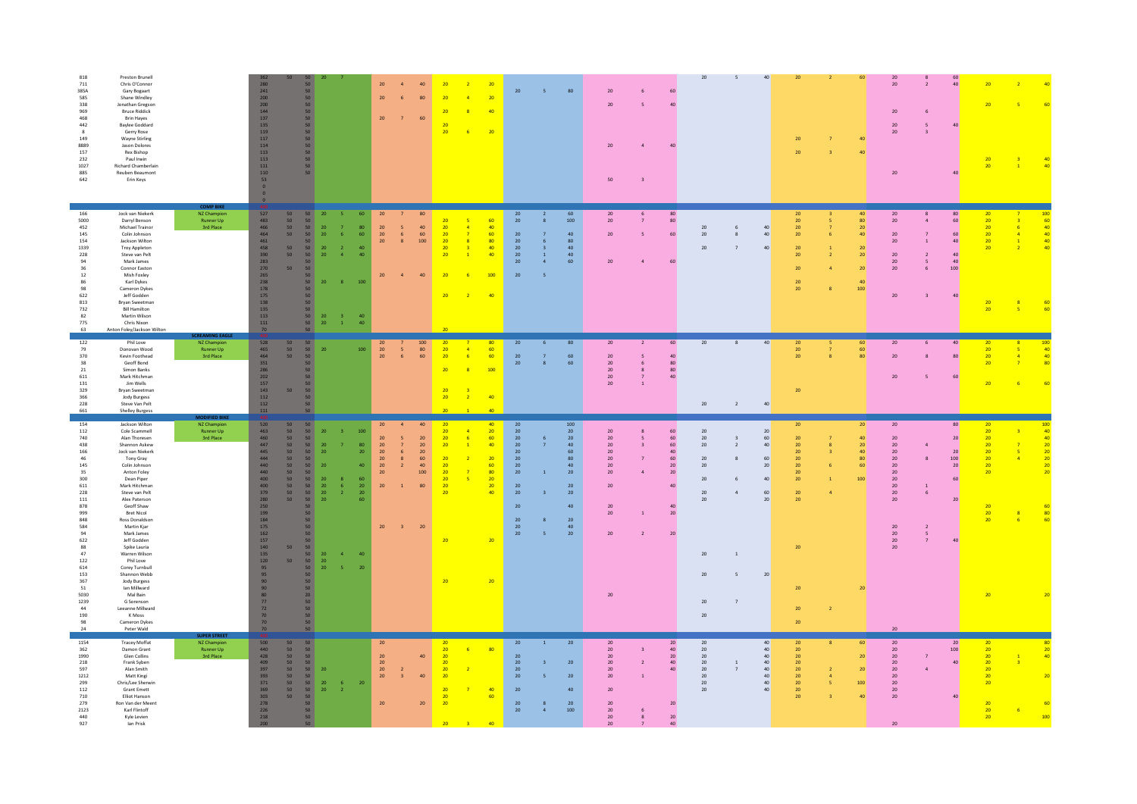| 818<br>Preston Brunell<br>711<br>Chris O'Connor<br>385A<br>Gary Bogaart<br>585<br>Shane Windley<br>338<br>Jonathan Gregson<br>969<br><b>Bruce Riddick</b><br>468<br><b>Brin Hayes</b><br>442<br><b>Baylee Goddard</b><br>$\mathbf{R}$<br>Gerry Rose<br>149<br>Wayne Stirling<br>8889<br>Jason Dolores<br>$157\,$<br>Rex Bishop<br>232<br>Paul Irwin<br>1027<br>Richard Chamberlain<br>885<br>Reuben Beaumont<br>642<br>Erin Keys                                                                                                                                                                                                                                                                                                               |                                                             | 362<br>${\bf 280}$<br>${\bf 241}$<br>200<br>$\begin{array}{c} 200 \\ 144 \end{array}$<br>137<br>135<br>$\frac{1}{119}$<br>$117\,$<br>114<br>$113\,$<br>$113\,$<br>$111\,$<br>110<br>53<br>$\theta$                                                                                                                                                                                                                                            | $50 -$<br>50<br>50 <sub>2</sub><br>50 <sub>2</sub><br>50<br>50<br>50<br>$50 -$<br>50 <sub>2</sub><br>50 <sub>2</sub><br>50<br>50<br>50 <sub>2</sub><br>$50 -$                                                                                                                                                                                                                                                                                                                         | 20<br>$20\,$<br>20                                                                                                                                                    | 80<br>60<br>$\overline{z}$                                                                                                                                              | $\overline{4}$<br>20<br>$\overline{\mathbf{8}}$<br>20<br>20<br>$-6$                                                                                            | 20 <sub>2</sub><br>40<br>20                                          | 20                                                                                                                                 | 80                                                                                                                                                                      | 20<br>20<br>20<br>50                                                                                                                | $\overline{\mathbf{3}}$                                    | 40                                                                                                  | 20                                                                           | $\overline{\phantom{a}}$<br>40                                                                                                                                      | 20<br>20                                                                                                                         |                | 60                                                                                         | 20<br>20<br>20<br>20<br>20<br>20                                                                                                        |                                                               | 60<br>40<br>40<br>40                                                                                                            | 20                                                                                                                   |                                                                         |
|------------------------------------------------------------------------------------------------------------------------------------------------------------------------------------------------------------------------------------------------------------------------------------------------------------------------------------------------------------------------------------------------------------------------------------------------------------------------------------------------------------------------------------------------------------------------------------------------------------------------------------------------------------------------------------------------------------------------------------------------|-------------------------------------------------------------|-----------------------------------------------------------------------------------------------------------------------------------------------------------------------------------------------------------------------------------------------------------------------------------------------------------------------------------------------------------------------------------------------------------------------------------------------|---------------------------------------------------------------------------------------------------------------------------------------------------------------------------------------------------------------------------------------------------------------------------------------------------------------------------------------------------------------------------------------------------------------------------------------------------------------------------------------|-----------------------------------------------------------------------------------------------------------------------------------------------------------------------|-------------------------------------------------------------------------------------------------------------------------------------------------------------------------|----------------------------------------------------------------------------------------------------------------------------------------------------------------|----------------------------------------------------------------------|------------------------------------------------------------------------------------------------------------------------------------|-------------------------------------------------------------------------------------------------------------------------------------------------------------------------|-------------------------------------------------------------------------------------------------------------------------------------|------------------------------------------------------------|-----------------------------------------------------------------------------------------------------|------------------------------------------------------------------------------|---------------------------------------------------------------------------------------------------------------------------------------------------------------------|----------------------------------------------------------------------------------------------------------------------------------|----------------|--------------------------------------------------------------------------------------------|-----------------------------------------------------------------------------------------------------------------------------------------|---------------------------------------------------------------|---------------------------------------------------------------------------------------------------------------------------------|----------------------------------------------------------------------------------------------------------------------|-------------------------------------------------------------------------|
| 166<br>Jock van Niekerk<br>5000<br>Darryl Benson<br>452<br>Michael Trainor<br>145<br>Colin Johnson<br>154<br>Jackson Wilton<br>1339<br><b>Troy Appleton</b><br>228<br>Steve van Pelt<br>94<br>Mark James<br>36<br>Connor Easton<br>Mish Foxley<br>$12\,$<br>Karl Dykes<br>86<br>Cameron Dykes<br>98<br>622<br>Jeff Godden<br>813<br><b>Brvan Sweetman</b><br>732<br><b>Rill Hamilton</b><br>82<br>Martin Wilson<br>775<br>Chris Nixon<br>63<br>Anton Foley/Jackson Wilton                                                                                                                                                                                                                                                                      | NZ Champion<br>Runner Up<br>3rd Place                       | 527<br>50<br>483<br>50<br>$\frac{466}{464}$<br>50 <sub>2</sub><br>50 <sup>1</sup><br>461<br>458<br>390<br>50<br>50<br>283<br>270<br>$50 -$<br>$265\,$<br>238<br>178<br>175<br>138<br>$\begin{array}{c} 135 \\ 113 \end{array}$<br>$111\,$<br>70                                                                                                                                                                                               | 50 <sub>2</sub><br>20<br>$50\,$<br>50<br>$\frac{20}{20}$<br>50<br>-6<br>50<br>$\frac{20}{20}$<br>$\overline{2}$<br>$\frac{50}{50}$<br>$\overline{a}$<br>50<br>50 <sub>1</sub><br>20 <sub>2</sub><br>8<br>50<br>50<br>50<br>50<br>50 20<br>$\overline{\mathbf{3}}$<br>50<br>20<br>$\sim 1$                                                                                                                                                                                             | 60<br>$20\,$<br>$\begin{array}{c} 80 \\ 60 \end{array}$<br>$\begin{array}{c} 20 \\ 20 \\ 20 \end{array}$<br>40<br>40 <sup>°</sup><br>20<br>100<br>40<br>40            | $\begin{array}{c} 40 \\ 60 \\ 100 \end{array}$<br>$\overline{5}$<br>6 <sup>1</sup><br>8                                                                                 | 20<br>$\overline{4}$<br>20<br>$\overline{7}$<br>$\overline{20}$<br>$\mathbf{R}$<br>$-20$<br>$\mathbf{R}$<br>20<br>$\overline{1}$<br>20<br>20<br>$\overline{2}$ | 60<br>40<br>60<br>80<br>40<br>40 <sup>°</sup><br>100<br>40           | 20<br>$20\,$<br>20<br>20<br>20<br>20<br>20<br>20 <sub>2</sub>                                                                      | $60\,$<br>$100\,$<br>40<br>80<br>-6<br>$\mathbf{R}$<br>40<br>$\overline{1}$<br>40<br>$\overline{4}$<br>60                                                               | $20\,$<br>$20\,$<br>20<br>20                                                                                                        | $\overline{\phantom{a}}$                                   | 80<br>$80\,$<br>60<br>60                                                                            | 20<br>20<br>20                                                               | 40<br>$6 \overline{6}$<br>40<br>8<br>40<br>$\overline{7}$                                                                                                           | 20<br>${\bf 20}$<br>$\frac{20}{20}$<br>20<br>20<br>20<br>$20\,$<br>20                                                            |                | 40<br>80 <sup>°</sup><br>20 <sup>°</sup><br>40<br>20<br>20<br>20 <sub>2</sub><br>40<br>100 | 20<br>${\bf 20}$<br>20<br>20<br>$20\,$<br>$20\,$<br>$20\,$<br>20                                                                        | $\mathbf{1}$<br>6<br>$\mathbf{R}$                             | 80<br>60<br>60<br>40<br>40<br>40 <sup>°</sup><br>100<br>40 <sup>°</sup>                                                         | 20<br>20 <sub>2</sub><br>20 <sup>°</sup><br>20 <sup>2</sup><br>20 <sup>°</sup><br>$\overline{20}$<br>$\frac{20}{20}$ | $-6$<br>$\sqrt{4}$<br>$\mathbf{1}$                                      |
| 122<br>Phil Love<br>79<br>Donovan Wood<br>370<br>Kevin Foothead<br>38<br>Geoff Bond<br>21<br>Simon Banks<br>611<br>Mark Hitchman<br>$131\,$<br>Jim Wells<br>329<br>Bryan Sweetman<br>366<br>Jody Burgess<br>228<br>Steve Van Pelt<br>661<br><b>Shelley Burgess</b>                                                                                                                                                                                                                                                                                                                                                                                                                                                                             | NZ Champion<br>Runner Up<br>3rd Place                       | 528<br>50<br>465<br>464<br>351<br>50<br>50<br>$\begin{array}{l} 286 \\ 202 \end{array}$<br>$157\,$<br>$143$<br>50<br>112<br>112<br>$111\,$                                                                                                                                                                                                                                                                                                    | 50<br>50<br>20<br>50<br>50<br>50 <sub>2</sub><br>50 <sub>2</sub><br>50 <sub>2</sub><br>50 <sub>2</sub><br>50 <sub>2</sub><br>50<br>50                                                                                                                                                                                                                                                                                                                                                 | 20<br>100<br>$\frac{20}{20}$                                                                                                                                          | $\begin{array}{c} 100 \\ 80 \\ 60 \end{array}$<br>$\frac{5}{6}$                                                                                                         | 20<br>20<br>$\overline{4}$<br>20<br>$-6$<br>$\overline{20}$<br>$\mathbf{R}$<br>20<br>20<br>$\overline{2}$                                                      | 80<br>60<br>60<br>100<br>40                                          | $20\,$<br>20<br>20                                                                                                                 | 80<br>60<br>$\overline{7}$<br>60<br>-8                                                                                                                                  | $20\,$<br>20<br>20<br>20<br>20<br>$20\,$                                                                                            | $\overline{2}$<br>-6<br>$\boldsymbol{8}$<br>$\overline{z}$ | $60\,$<br>40 <sup>°</sup><br>80<br>80<br>40                                                         | $20\,$<br>$20\degree$                                                        | 40<br>$\,$ 8 $\,$<br>40<br>$\overline{2}$                                                                                                                           | 20<br>$\begin{array}{c} 20 \\ 20 \end{array}$<br>${\bf 20}$                                                                      |                | 60<br>60<br>80 <sup>1</sup>                                                                | 20<br>20<br>20                                                                                                                          | $\mathbf{R}$                                                  | 40<br>80<br>60                                                                                                                  | 20<br>20<br>20 <sup>2</sup><br>20                                                                                    | 40<br>$\frac{40}{80}$                                                   |
| 154<br>Jackson Wilton<br>112<br>Cole Scammell<br>740<br>Alan Thoresen<br>438<br>Shannon Askew<br>166<br>Jock van Niekerk<br>$46\,$<br>Tony Gray<br>145<br>Colin Johnson<br>35<br>Anton Foley<br>300<br>Dean Piper<br>611<br>Mark Hitchman<br>228<br>Steve van Pelt<br>$111\,$<br>Alex Paterson<br>878<br>Geoff Shaw<br>999<br><b>Bret Nicol</b><br>Ross Donaldson<br>848<br>584<br>Martin Kjar<br>94<br>Mark James<br>622<br>Jeff Godden<br>88<br>Spike Lauria<br>47<br>Warren Wilson<br>122<br>Phil Love<br>$614\,$<br>Corey Turnbull<br>$153\,$<br>Shannon Webb<br>367<br>Jody Burgess<br>51<br>Ian Millward<br>5030<br>Mal Bain<br>1239<br>G Sorenson<br>44<br>Leeanne Millward<br>190<br>K Moss<br>98<br>Cameron Dykes<br>24<br>Peter Wald | <b>ODIFIED BIK</b><br>NZ Champion<br>Runner Up<br>3rd Place | 520<br>50<br>$\frac{463}{460}$<br>50<br>50<br>447<br>50 <sub>2</sub><br>445<br>50<br>444<br>50<br>440<br>50<br>440<br>50 <sub>2</sub><br>$\frac{400}{400}$<br>$\begin{array}{c} 50 \\ 50 \end{array}$<br>$\frac{379}{280}$<br>50<br>50<br>250<br>199<br>184<br>175<br>162<br>$\frac{157}{140}$<br>50<br>135<br>$120\,$<br>50<br>95<br>95<br>90 <sub>°</sub><br>90 <sub>°</sub><br>80 <sub>2</sub><br>$\frac{77}{72}$<br>$\frac{70}{70}$<br>70 | 50<br>50<br>20<br>50 <sub>1</sub><br>50 <sub>2</sub><br>${\bf 20}$<br>50 <sub>2</sub><br>20 <sub>2</sub><br>50<br>50<br>20<br>50<br>$20\,$<br>50<br>$\mathbf{20}$<br>50<br>- 6<br>${\bf 20}$<br>50 <sub>1</sub><br>$\overline{2}$<br>50<br>20<br>50<br>50<br>50<br>50<br>50<br>50<br>$20\,$<br>$\begin{array}{c} 50 \\ 50 \end{array}$<br>$\overline{4}$<br>$20\,$<br>50 <sub>1</sub><br>$20\,$<br>$-5$<br>50<br>50<br>20<br>50<br>50<br>50 <sub>1</sub><br>$50 -$<br>50 <sub>2</sub> | 20<br>100<br>${\bf 20}$<br>80<br>$20\,$<br>20<br>${\bf 20}$<br>20 <sub>2</sub><br>20 <sub>2</sub><br>40<br>20<br>60<br>20<br>20<br>20<br>60<br>20<br>40<br>${\bf 20}$ | 40<br>$20\,$<br>$20\,$<br>$\overline{7}$<br>$\epsilon$<br>$20\,$<br>$60\,$<br>$\boldsymbol{8}$<br>$40-1$<br>$\overline{2}$<br>100<br>80<br>$\overline{1}$<br>$-3$<br>20 | 20<br>20<br>20<br>-6<br>20<br>$\mathbf{1}$<br>20<br>20<br>20<br>$\overline{20}$<br>$\overline{20}$<br>20<br>$\overline{20}$<br>20                              | 40<br>20<br>60<br>40<br>20<br>60<br>80<br>20<br>20<br>40<br>20<br>20 | 20<br>$20\,$<br>20<br>$20\,$<br>$20\,$<br>$20\,$<br>20<br>20 <sub>2</sub><br>20 <sup>°</sup><br>20<br>$20\,$<br>$20\,$<br>20<br>20 | 100<br>20<br>-6<br>20<br>40<br>$\overline{7}$<br>$60\,$<br>80<br>$40\,$<br>20<br>$\overline{1}$<br>20<br>20<br>40<br>20 <sub>2</sub><br>8<br>40<br>20<br>$\overline{5}$ | 20<br>20<br>$20\,$<br>$20\,$<br>$20\,$<br>$20\,$<br>20<br>20<br>$20\,$<br>20<br>20<br>20                                            | $\overline{\phantom{a}}$<br>$\overline{\phantom{a}}$       | 60<br>$60\,$<br>$60\,$<br>$40\,$<br>$60\,$<br>20 <sub>2</sub><br>20<br>40<br>40<br>${\bf 20}$<br>20 | 20<br>20<br>$20\,$<br>20<br>$20\,$<br>20<br>20<br>20<br>20<br>20<br>20<br>20 | 20<br>$\overline{\mathbf{3}}$<br>60<br>$\bar{2}$<br>40<br>60<br>20<br>40<br>6<br>60<br>$\overline{a}$<br>20<br>$\mathbf{1}$<br>20<br>$\mathsf{s}$<br>$\overline{7}$ | 20<br>$20\,$<br>${\bf 20}$<br>$20\,$<br>20 <sub>2</sub><br>$20\,$<br>$\frac{20}{20}$<br>$20\,$<br>20<br>20<br>20<br>20<br>$20\,$ | $\overline{2}$ | 20<br>$40\,$<br>20 <sub>2</sub><br>$40\,$<br>80<br>60<br>100                               | 20<br>$20\,$<br>$20\,$<br>$20\,$<br>$20\,$<br>20 <sub>2</sub><br>20<br>20<br>20<br>$20\degree$<br>20<br>$20\,$<br>$\frac{20}{20}$<br>20 | $\overline{1}$<br>6<br>$\overline{2}$<br>-5<br>$\overline{7}$ | 80<br>20 <sup>°</sup><br>$\frac{1}{20}$<br>$\begin{array}{c} 100 \\ 20 \end{array}$<br>60<br>20 <sub>2</sub><br>40 <sup>°</sup> | 20<br>20<br>$\overline{20}$<br>20<br>20<br>20 <sup>°</sup><br>20<br>20<br>$20\text{ }$<br>20<br>20<br>20             | $\begin{array}{r} 40 \\ 40 \\ 20 \\ 20 \\ 20 \end{array}$<br>$\sqrt{5}$ |
| 1154<br><b>Tracey Moffat</b><br>362<br>Damon Grant<br>1990<br>Glen Collins<br>218<br>Frank Syben<br>597<br>Alan Smith<br>1212<br>Matt Kingi<br>299<br>Chris/Lee Sherwin<br>$112\,$<br><b>Grant Emett</b><br>710<br>Elliot Hanson<br>279<br>Ron Van der Meent<br>Karl Flintoff<br>2123<br>440<br>Kyle Levien<br>927<br><b>Ian Prisk</b>                                                                                                                                                                                                                                                                                                                                                                                                         | <b>UPER STREE</b><br>NZ Champion<br>Runner Up<br>3rd Place  | $\begin{array}{r}\n 500 \\ 440 \\ 428\n \end{array}$<br>50<br>50<br>50 <sub>2</sub><br>409<br>397<br>$\begin{array}{c} 50 \\ 50 \end{array}$<br>$\begin{array}{c} 393 \\ 371 \end{array}$<br>$\frac{50}{50}$<br>369<br>303<br>50<br>$50 -$<br>278<br>226<br>218<br>$200 -$                                                                                                                                                                    | 50<br>50<br>50<br>$\begin{array}{c} 50 \\ 50 \end{array}$<br>$20\,$<br>50 <sub>1</sub><br>50<br>$20\,$<br>$-6$<br>50<br>$20\,$<br>$\sim$ 2 $\,$<br>50<br>50<br>50<br>50<br>50                                                                                                                                                                                                                                                                                                         | 20<br>20 <sub>2</sub><br>$\frac{20}{20}$<br>$20\,$<br>${\bf 20}$<br>20                                                                                                | 40 <sub>1</sub><br>$\overline{2}$<br>40 <sub>1</sub><br>20                                                                                                              | 20<br>-6<br>20<br>20<br>20<br>$\overline{2}$<br>20<br>$\overline{20}$<br>20<br>$-20$<br>20                                                                     | 80<br>40                                                             | 20<br>20<br>20<br>20<br>20<br>${\bf 20}$<br>20<br>20                                                                               | 20<br>20<br>20 <sub>0</sub><br>40<br>20<br>100                                                                                                                          | 20<br>$20\,$<br>20 <sup>°</sup><br>20 <sup>°</sup><br>20 <sup>°</sup><br>20<br>20<br>20<br>20<br>20 <sup>2</sup><br>20 <sup>2</sup> | $\overline{2}$                                             | 20<br>40 <sup>°</sup><br>$20\,$<br>40<br>40<br>20<br>20<br>40                                       | 20<br>20<br>20<br>20<br>20<br>20<br>20<br>20                                 | 40<br>40<br>40<br>40<br>$\mathbf{1}$<br>40<br>$\overline{7}$<br>40<br>40<br>40                                                                                      | 20<br>20 <sub>2</sub><br>${\bf 20}$<br>$\frac{20}{20}$<br>$20\,$<br>$20\,$<br>${\bf 20}$<br>20                                   |                | 60<br>20 <sup>°</sup><br>20 <sup>°</sup><br>100<br>40                                      | 20<br>20 <sub>2</sub><br>20<br>20<br>20<br>$20\degree$<br>$20\,$<br>$20\,$<br>20<br>20                                                  | $\mathbf{A}$                                                  | 20<br>100<br>40 <sup>1</sup>                                                                                                    | 20<br>$\begin{array}{c} 20 \\ 20 \end{array}$<br>$\frac{1}{20}$<br>20<br>20<br>20<br>20<br>20 <sub>1</sub>           | $\frac{20}{40}$                                                         |